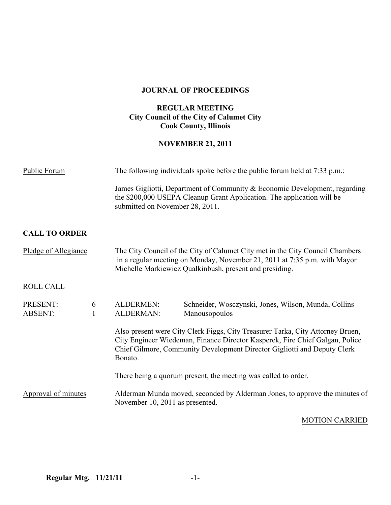### **JOURNAL OF PROCEEDINGS**

# **REGULAR MEETING City Council of the City of Calumet City Cook County, Illinois**

# **NOVEMBER 21, 2011**

| Public Forum                                    | The following individuals spoke before the public forum held at 7:33 p.m.:                                                                                                                                                                            |  |
|-------------------------------------------------|-------------------------------------------------------------------------------------------------------------------------------------------------------------------------------------------------------------------------------------------------------|--|
|                                                 | James Gigliotti, Department of Community & Economic Development, regarding<br>the \$200,000 USEPA Cleanup Grant Application. The application will be<br>submitted on November 28, 2011.                                                               |  |
| <b>CALL TO ORDER</b>                            |                                                                                                                                                                                                                                                       |  |
| Pledge of Allegiance                            | The City Council of the City of Calumet City met in the City Council Chambers<br>in a regular meeting on Monday, November 21, 2011 at 7:35 p.m. with Mayor<br>Michelle Markiewicz Qualkinbush, present and presiding.                                 |  |
| <b>ROLL CALL</b>                                |                                                                                                                                                                                                                                                       |  |
| PRESENT:<br>6<br><b>ABSENT:</b><br>$\mathbf{1}$ | <b>ALDERMEN:</b><br>Schneider, Wosczynski, Jones, Wilson, Munda, Collins<br><b>ALDERMAN:</b><br>Manousopoulos                                                                                                                                         |  |
|                                                 | Also present were City Clerk Figgs, City Treasurer Tarka, City Attorney Bruen,<br>City Engineer Wiedeman, Finance Director Kasperek, Fire Chief Galgan, Police<br>Chief Gilmore, Community Development Director Gigliotti and Deputy Clerk<br>Bonato. |  |
|                                                 | There being a quorum present, the meeting was called to order.                                                                                                                                                                                        |  |
| Approval of minutes                             | Alderman Munda moved, seconded by Alderman Jones, to approve the minutes of<br>November 10, 2011 as presented.                                                                                                                                        |  |

# MOTION CARRIED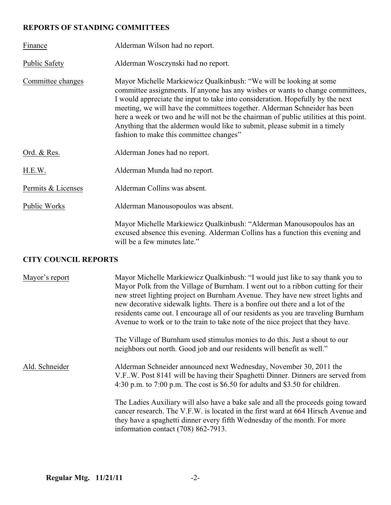# **REPORTS OF STANDING COMMITTEES**

| Finance              | Alderman Wilson had no report.                                                                                                                                                                                                                                                                                                                                                                                                                                                                                                         |  |  |
|----------------------|----------------------------------------------------------------------------------------------------------------------------------------------------------------------------------------------------------------------------------------------------------------------------------------------------------------------------------------------------------------------------------------------------------------------------------------------------------------------------------------------------------------------------------------|--|--|
| <b>Public Safety</b> | Alderman Wosczynski had no report.                                                                                                                                                                                                                                                                                                                                                                                                                                                                                                     |  |  |
| Committee changes    | Mayor Michelle Markiewicz Qualkinbush: "We will be looking at some<br>committee assignments. If anyone has any wishes or wants to change committees,<br>I would appreciate the input to take into consideration. Hopefully by the next<br>meeting, we will have the committees together. Alderman Schneider has been<br>here a week or two and he will not be the chairman of public utilities at this point.<br>Anything that the aldermen would like to submit, please submit in a timely<br>fashion to make this committee changes" |  |  |
| Ord. & Res.          | Alderman Jones had no report.                                                                                                                                                                                                                                                                                                                                                                                                                                                                                                          |  |  |
| H.E.W.               | Alderman Munda had no report.                                                                                                                                                                                                                                                                                                                                                                                                                                                                                                          |  |  |
| Permits & Licenses   | Alderman Collins was absent.                                                                                                                                                                                                                                                                                                                                                                                                                                                                                                           |  |  |
| Public Works         | Alderman Manousopoulos was absent.                                                                                                                                                                                                                                                                                                                                                                                                                                                                                                     |  |  |
|                      | Mayor Michelle Markiewicz Qualkinbush: "Alderman Manousopoulos has an<br>excused absence this evening. Alderman Collins has a function this evening and<br>will be a few minutes late."                                                                                                                                                                                                                                                                                                                                                |  |  |

# **CITY COUNCIL REPORTS**

| Mayor's report | Mayor Michelle Markiewicz Qualkinbush: "I would just like to say thank you to<br>Mayor Polk from the Village of Burnham. I went out to a ribbon cutting for their<br>new street lighting project on Burnham Avenue. They have new street lights and<br>new decorative sidewalk lights. There is a bonfire out there and a lot of the<br>residents came out. I encourage all of our residents as you are traveling Burnham<br>Avenue to work or to the train to take note of the nice project that they have. |
|----------------|--------------------------------------------------------------------------------------------------------------------------------------------------------------------------------------------------------------------------------------------------------------------------------------------------------------------------------------------------------------------------------------------------------------------------------------------------------------------------------------------------------------|
|                | The Village of Burnham used stimulus monies to do this. Just a shout to our<br>neighbors out north. Good job and our residents will benefit as well."                                                                                                                                                                                                                                                                                                                                                        |
| Ald. Schneider | Alderman Schneider announced next Wednesday, November 30, 2011 the<br>V.F., W. Post 8141 will be having their Spaghetti Dinner. Dinners are served from<br>4:30 p.m. to 7:00 p.m. The cost is \$6.50 for adults and \$3.50 for children.                                                                                                                                                                                                                                                                     |
|                | The Ladies Auxiliary will also have a bake sale and all the proceeds going toward<br>cancer research. The V.F.W. is located in the first ward at 664 Hirsch Avenue and<br>they have a spaghetti dinner every fifth Wednesday of the month. For more<br>information contact $(708) 862-7913$ .                                                                                                                                                                                                                |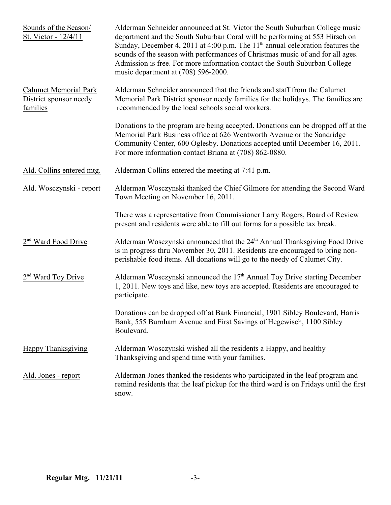| Sounds of the Season/<br>St. Victor - 12/4/11                      | Alderman Schneider announced at St. Victor the South Suburban College music<br>department and the South Suburban Coral will be performing at 553 Hirsch on<br>Sunday, December 4, 2011 at 4:00 p.m. The 11 <sup>th</sup> annual celebration features the<br>sounds of the season with performances of Christmas music of and for all ages.<br>Admission is free. For more information contact the South Suburban College<br>music department at (708) 596-2000. |
|--------------------------------------------------------------------|-----------------------------------------------------------------------------------------------------------------------------------------------------------------------------------------------------------------------------------------------------------------------------------------------------------------------------------------------------------------------------------------------------------------------------------------------------------------|
| <b>Calumet Memorial Park</b><br>District sponsor needy<br>families | Alderman Schneider announced that the friends and staff from the Calumet<br>Memorial Park District sponsor needy families for the holidays. The families are<br>recommended by the local schools social workers.                                                                                                                                                                                                                                                |
|                                                                    | Donations to the program are being accepted. Donations can be dropped off at the<br>Memorial Park Business office at 626 Wentworth Avenue or the Sandridge<br>Community Center, 600 Oglesby. Donations accepted until December 16, 2011.<br>For more information contact Briana at (708) 862-0880.                                                                                                                                                              |
| Ald. Collins entered mtg.                                          | Alderman Collins entered the meeting at 7:41 p.m.                                                                                                                                                                                                                                                                                                                                                                                                               |
| Ald. Wosczynski - report                                           | Alderman Wosczynski thanked the Chief Gilmore for attending the Second Ward<br>Town Meeting on November 16, 2011.                                                                                                                                                                                                                                                                                                                                               |
|                                                                    | There was a representative from Commissioner Larry Rogers, Board of Review<br>present and residents were able to fill out forms for a possible tax break.                                                                                                                                                                                                                                                                                                       |
| Ward Food Drive                                                    | Alderman Wosczynski announced that the 24 <sup>th</sup> Annual Thanksgiving Food Drive<br>is in progress thru November 30, 2011. Residents are encouraged to bring non-<br>perishable food items. All donations will go to the needy of Calumet City.                                                                                                                                                                                                           |
| Ward Toy Drive                                                     | Alderman Wosczynski announced the 17 <sup>th</sup> Annual Toy Drive starting December<br>1, 2011. New toys and like, new toys are accepted. Residents are encouraged to<br>participate.                                                                                                                                                                                                                                                                         |
|                                                                    | Donations can be dropped off at Bank Financial, 1901 Sibley Boulevard, Harris<br>Bank, 555 Burnham Avenue and First Savings of Hegewisch, 1100 Sibley<br>Boulevard.                                                                                                                                                                                                                                                                                             |
| <b>Happy Thanksgiving</b>                                          | Alderman Wosczynski wished all the residents a Happy, and healthy<br>Thanksgiving and spend time with your families.                                                                                                                                                                                                                                                                                                                                            |
| Ald. Jones - report                                                | Alderman Jones thanked the residents who participated in the leaf program and<br>remind residents that the leaf pickup for the third ward is on Fridays until the first<br>snow.                                                                                                                                                                                                                                                                                |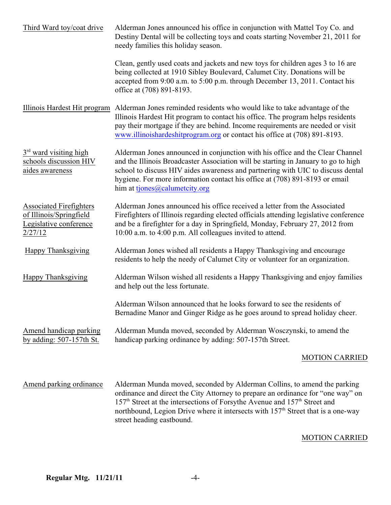| Third Ward toy/coat drive                                                                      | Alderman Jones announced his office in conjunction with Mattel Toy Co. and<br>Destiny Dental will be collecting toys and coats starting November 21, 2011 for<br>needy families this holiday season.                                                                                                                                                                   |
|------------------------------------------------------------------------------------------------|------------------------------------------------------------------------------------------------------------------------------------------------------------------------------------------------------------------------------------------------------------------------------------------------------------------------------------------------------------------------|
|                                                                                                | Clean, gently used coats and jackets and new toys for children ages 3 to 16 are<br>being collected at 1910 Sibley Boulevard, Calumet City. Donations will be<br>accepted from 9:00 a.m. to 5:00 p.m. through December 13, 2011. Contact his<br>office at (708) 891-8193.                                                                                               |
|                                                                                                | Illinois Hardest Hit program Alderman Jones reminded residents who would like to take advantage of the<br>Illinois Hardest Hit program to contact his office. The program helps residents<br>pay their mortgage if they are behind. Income requirements are needed or visit<br>www.illinoishardeshitprogram.org or contact his office at (708) 891-8193.               |
| $3rd$ ward visiting high<br>schools discussion HIV<br>aides awareness                          | Alderman Jones announced in conjunction with his office and the Clear Channel<br>and the Illinois Broadcaster Association will be starting in January to go to high<br>school to discuss HIV aides awareness and partnering with UIC to discuss dental<br>hygiene. For more information contact his office at (708) 891-8193 or email<br>him at tjones@calumetcity.org |
| <b>Associated Firefighters</b><br>of Illinois/Springfield<br>Legislative conference<br>2/27/12 | Alderman Jones announced his office received a letter from the Associated<br>Firefighters of Illinois regarding elected officials attending legislative conference<br>and be a firefighter for a day in Springfield, Monday, February 27, 2012 from<br>10:00 a.m. to 4:00 p.m. All colleagues invited to attend.                                                       |
| Happy Thanksgiving                                                                             | Alderman Jones wished all residents a Happy Thanksgiving and encourage<br>residents to help the needy of Calumet City or volunteer for an organization.                                                                                                                                                                                                                |
| Happy Thanksgiving                                                                             | Alderman Wilson wished all residents a Happy Thanksgiving and enjoy families<br>and help out the less fortunate.                                                                                                                                                                                                                                                       |
|                                                                                                | Alderman Wilson announced that he looks forward to see the residents of<br>Bernadine Manor and Ginger Ridge as he goes around to spread holiday cheer.                                                                                                                                                                                                                 |
| Amend handicap parking<br>by adding: $507-157$ th St.                                          | Alderman Munda moved, seconded by Alderman Wosczynski, to amend the<br>handicap parking ordinance by adding: 507-157th Street.                                                                                                                                                                                                                                         |
|                                                                                                | <b>MOTION CARRIED</b>                                                                                                                                                                                                                                                                                                                                                  |
| Amend parking ordinance                                                                        | Alderman Munda moved, seconded by Alderman Collins, to amend the parking<br>ordinance and direct the City Attorney to prepare an ordinance for "one way" on<br>157 <sup>th</sup> Street at the intersections of Forsythe Avenue and 157 <sup>th</sup> Street and                                                                                                       |

# MOTION CARRIED

street heading eastbound.

northbound, Legion Drive where it intersects with  $157<sup>th</sup>$  Street that is a one-way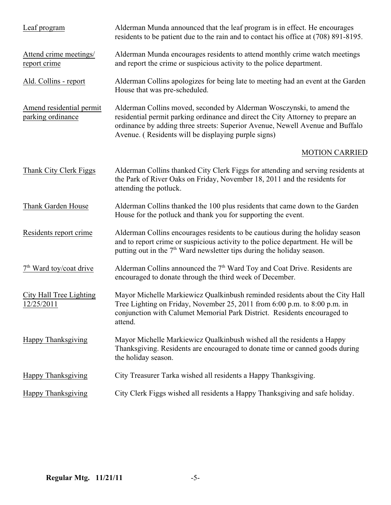| Leaf program                                  | Alderman Munda announced that the leaf program is in effect. He encourages<br>residents to be patient due to the rain and to contact his office at (708) 891-8195.                                                                                                                               |
|-----------------------------------------------|--------------------------------------------------------------------------------------------------------------------------------------------------------------------------------------------------------------------------------------------------------------------------------------------------|
| Attend crime meetings/<br>report crime        | Alderman Munda encourages residents to attend monthly crime watch meetings<br>and report the crime or suspicious activity to the police department.                                                                                                                                              |
| Ald. Collins - report                         | Alderman Collins apologizes for being late to meeting had an event at the Garden<br>House that was pre-scheduled.                                                                                                                                                                                |
| Amend residential permit<br>parking ordinance | Alderman Collins moved, seconded by Alderman Wosczynski, to amend the<br>residential permit parking ordinance and direct the City Attorney to prepare an<br>ordinance by adding three streets: Superior Avenue, Newell Avenue and Buffalo<br>Avenue. (Residents will be displaying purple signs) |
|                                               | <b>MOTION CARRIED</b>                                                                                                                                                                                                                                                                            |
| Thank City Clerk Figgs                        | Alderman Collins thanked City Clerk Figgs for attending and serving residents at<br>the Park of River Oaks on Friday, November 18, 2011 and the residents for<br>attending the potluck.                                                                                                          |
| Thank Garden House                            | Alderman Collins thanked the 100 plus residents that came down to the Garden<br>House for the potluck and thank you for supporting the event.                                                                                                                                                    |
| Residents report crime                        | Alderman Collins encourages residents to be cautious during the holiday season<br>and to report crime or suspicious activity to the police department. He will be<br>putting out in the 7 <sup>th</sup> Ward newsletter tips during the holiday season.                                          |
| 7 <sup>th</sup> Ward toy/coat drive           | Alderman Collins announced the 7 <sup>th</sup> Ward Toy and Coat Drive. Residents are<br>encouraged to donate through the third week of December.                                                                                                                                                |
| City Hall Tree Lighting<br>12/25/2011         | Mayor Michelle Markiewicz Qualkinbush reminded residents about the City Hall<br>Tree Lighting on Friday, November 25, 2011 from $6:00$ p.m. to $8:00$ p.m. in<br>conjunction with Calumet Memorial Park District. Residents encouraged to<br>attend.                                             |
| <b>Happy Thanksgiving</b>                     | Mayor Michelle Markiewicz Qualkinbush wished all the residents a Happy<br>Thanksgiving. Residents are encouraged to donate time or canned goods during<br>the holiday season.                                                                                                                    |
| Happy Thanksgiving                            | City Treasurer Tarka wished all residents a Happy Thanksgiving.                                                                                                                                                                                                                                  |
| <b>Happy Thanksgiving</b>                     | City Clerk Figgs wished all residents a Happy Thanksgiving and safe holiday.                                                                                                                                                                                                                     |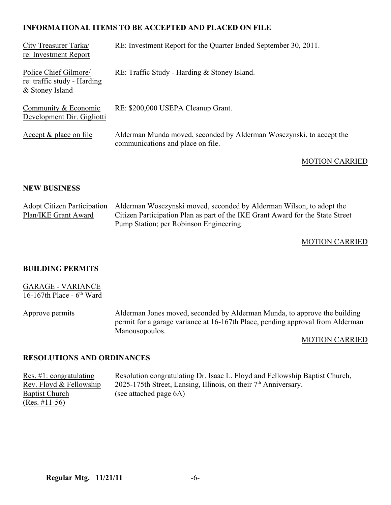# **INFORMATIONAL ITEMS TO BE ACCEPTED AND PLACED ON FILE**

| City Treasurer Tarka/<br>re: Investment Report                          | RE: Investment Report for the Quarter Ended September 30, 2011.                                           |
|-------------------------------------------------------------------------|-----------------------------------------------------------------------------------------------------------|
| Police Chief Gilmore/<br>re: traffic study - Harding<br>& Stoney Island | RE: Traffic Study - Harding & Stoney Island.                                                              |
| Community & Economic<br>Development Dir. Gigliotti                      | RE: \$200,000 USEPA Cleanup Grant.                                                                        |
| Accept $&$ place on file                                                | Alderman Munda moved, seconded by Alderman Wosczynski, to accept the<br>communications and place on file. |
|                                                                         | <b>MOTION CARRIED</b>                                                                                     |

### **NEW BUSINESS**

|                      | Adopt Citizen Participation Alderman Wosczynski moved, seconded by Alderman Wilson, to adopt the |
|----------------------|--------------------------------------------------------------------------------------------------|
| Plan/IKE Grant Award | Citizen Participation Plan as part of the IKE Grant Award for the State Street                   |
|                      | Pump Station; per Robinson Engineering.                                                          |

### MOTION CARRIED

### **BUILDING PERMITS**

| <b>GARAGE - VARIANCE</b>    |                                                                                                                                                                               |
|-----------------------------|-------------------------------------------------------------------------------------------------------------------------------------------------------------------------------|
| 16-167th Place - $6th$ Ward |                                                                                                                                                                               |
| Approve permits             | Alderman Jones moved, seconded by Alderman Munda, to approve the building<br>permit for a garage variance at 16-167th Place, pending approval from Alderman<br>Manousopoulos. |
|                             | <b>MOTION CARRIED</b>                                                                                                                                                         |

#### **RESOLUTIONS AND ORDINANCES**

<u>Res. #1: congratulating</u> Resolution congratulating Dr. Isaac L. Floyd and Fellowship Baptist Church,<br>Rev. Floyd & Fellowship 2025-175th Street, Lansing, Illinois, on their 7<sup>th</sup> Anniversary. Rev. Floyd & Fellowship 2025-175th Street, Lansing, Illinois, on their  $7<sup>th</sup>$  Anniversary.<br>Baptist Church (see attached page 6A)  $(see attached page 6A)$  $(Res. \#11-56)$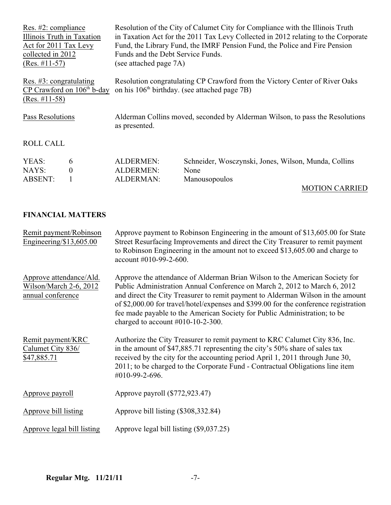| Res. $#2$ : compliance<br>Illinois Truth in Taxation<br>Act for 2011 Tax Levy<br>collected in 2012<br>$(Res. #11-57)$ |                                     | Resolution of the City of Calumet City for Compliance with the Illinois Truth<br>in Taxation Act for the 2011 Tax Levy Collected in 2012 relating to the Corporate<br>Fund, the Library Fund, the IMRF Pension Fund, the Police and Fire Pension<br>Funds and the Debt Service Funds.<br>(see attached page 7A) |                                                                               |  |
|-----------------------------------------------------------------------------------------------------------------------|-------------------------------------|-----------------------------------------------------------------------------------------------------------------------------------------------------------------------------------------------------------------------------------------------------------------------------------------------------------------|-------------------------------------------------------------------------------|--|
| Res. $\#3$ : congratulating<br>CP Crawford on $106th$ b-day<br>$(Res. #11-58)$                                        |                                     | Resolution congratulating CP Crawford from the Victory Center of River Oaks<br>on his 106 <sup>th</sup> birthday. (see attached page 7B)                                                                                                                                                                        |                                                                               |  |
| Pass Resolutions                                                                                                      |                                     | Alderman Collins moved, seconded by Alderman Wilson, to pass the Resolutions<br>as presented.                                                                                                                                                                                                                   |                                                                               |  |
| <b>ROLL CALL</b>                                                                                                      |                                     |                                                                                                                                                                                                                                                                                                                 |                                                                               |  |
| YEAS:<br>NAYS:<br><b>ABSENT:</b>                                                                                      | 6<br>$\overline{0}$<br>$\mathbf{1}$ | <b>ALDERMEN:</b><br><b>ALDERMEN:</b><br><b>ALDERMAN:</b>                                                                                                                                                                                                                                                        | Schneider, Wosczynski, Jones, Wilson, Munda, Collins<br>None<br>Manousopoulos |  |
|                                                                                                                       |                                     |                                                                                                                                                                                                                                                                                                                 | <b>MOTION CARRIED</b>                                                         |  |

# **FINANCIAL MATTERS**

| Remit payment/Robinson<br>Engineering/ $$13,605.00$                    | Approve payment to Robinson Engineering in the amount of \$13,605.00 for State<br>Street Resurfacing Improvements and direct the City Treasurer to remit payment<br>to Robinson Engineering in the amount not to exceed \$13,605.00 and charge to<br>account #010-99-2-600.                                                                                                                                                                              |
|------------------------------------------------------------------------|----------------------------------------------------------------------------------------------------------------------------------------------------------------------------------------------------------------------------------------------------------------------------------------------------------------------------------------------------------------------------------------------------------------------------------------------------------|
| Approve attendance/Ald.<br>Wilson/March 2-6, 2012<br>annual conference | Approve the attendance of Alderman Brian Wilson to the American Society for<br>Public Administration Annual Conference on March 2, 2012 to March 6, 2012<br>and direct the City Treasurer to remit payment to Alderman Wilson in the amount<br>of \$2,000.00 for travel/hotel/expenses and \$399.00 for the conference registration<br>fee made payable to the American Society for Public Administration; to be<br>charged to account $#010-10-2-300$ . |
| Remit payment/KRC<br>Calumet City 836/<br>\$47,885.71                  | Authorize the City Treasurer to remit payment to KRC Calumet City 836, Inc.<br>in the amount of \$47,885.71 representing the city's 50% share of sales tax<br>received by the city for the accounting period April 1, 2011 through June 30,<br>2011; to be charged to the Corporate Fund - Contractual Obligations line item<br>#010-99-2-696.                                                                                                           |
| Approve payroll                                                        | Approve payroll (\$772,923.47)                                                                                                                                                                                                                                                                                                                                                                                                                           |
| Approve bill listing                                                   | Approve bill listing (\$308,332.84)                                                                                                                                                                                                                                                                                                                                                                                                                      |
| Approve legal bill listing                                             | Approve legal bill listing (\$9,037.25)                                                                                                                                                                                                                                                                                                                                                                                                                  |